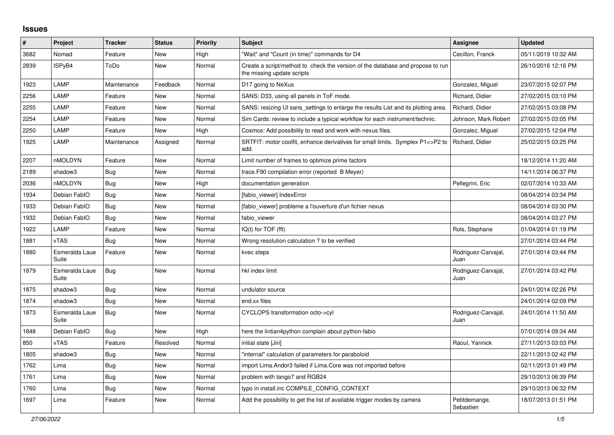## **Issues**

| #    | Project                 | <b>Tracker</b> | <b>Status</b> | <b>Priority</b> | <b>Subject</b>                                                                                               | <b>Assignee</b>             | <b>Updated</b>      |
|------|-------------------------|----------------|---------------|-----------------|--------------------------------------------------------------------------------------------------------------|-----------------------------|---------------------|
| 3682 | Nomad                   | Feature        | <b>New</b>    | High            | 'Wait" and "Count (in time)" commands for D4                                                                 | Cecillon, Franck            | 05/11/2019 10:32 AM |
| 2839 | ISPyB4                  | ToDo           | New           | Normal          | Create a script/method to check the version of the database and propose to run<br>the missing update scripts |                             | 26/10/2016 12:16 PM |
| 1923 | LAMP                    | Maintenance    | Feedback      | Normal          | D17 going to NeXus                                                                                           | Gonzalez, Miguel            | 23/07/2015 02:07 PM |
| 2256 | LAMP                    | Feature        | New           | Normal          | SANS: D33, using all panels in ToF mode.                                                                     | Richard, Didier             | 27/02/2015 03:10 PM |
| 2255 | LAMP                    | Feature        | <b>New</b>    | Normal          | SANS: resizing UI sans_settings to enlarge the results List and its plotting area.                           | Richard, Didier             | 27/02/2015 03:08 PM |
| 2254 | LAMP                    | Feature        | New           | Normal          | Sim Cards: review to include a typical workflow for each instrument/technic.                                 | Johnson, Mark Robert        | 27/02/2015 03:05 PM |
| 2250 | LAMP                    | Feature        | <b>New</b>    | High            | Cosmos: Add possibility to read and work with nexus files.                                                   | Gonzalez, Miguel            | 27/02/2015 12:04 PM |
| 1925 | LAMP                    | Maintenance    | Assigned      | Normal          | SRTFIT: motor coolfit, enhance derivatives for small limits. Symplex P1<>P2 to<br>add.                       | Richard, Didier             | 25/02/2015 03:25 PM |
| 2207 | nMOLDYN                 | Feature        | <b>New</b>    | Normal          | Limit number of frames to optimize prime factors                                                             |                             | 18/12/2014 11:20 AM |
| 2189 | shadow3                 | <b>Bug</b>     | <b>New</b>    | Normal          | trace.F90 compilation error (reported B Meyer)                                                               |                             | 14/11/2014 06:37 PM |
| 2036 | nMOLDYN                 | <b>Bug</b>     | New           | High            | documentation generation                                                                                     | Pellegrini, Eric            | 02/07/2014 10:33 AM |
| 1934 | Debian FablO            | Bug            | New           | Normal          | [fabio viewer] IndexError                                                                                    |                             | 08/04/2014 03:34 PM |
| 1933 | Debian FablO            | <b>Bug</b>     | <b>New</b>    | Normal          | [fabio viewer] probleme a l'ouverture d'un fichier nexus                                                     |                             | 08/04/2014 03:30 PM |
| 1932 | Debian FablO            | Bug            | <b>New</b>    | Normal          | fabio viewer                                                                                                 |                             | 08/04/2014 03:27 PM |
| 1922 | LAMP                    | Feature        | New           | Normal          | $IQ(t)$ for $TOF$ (fft)                                                                                      | Rols, Stephane              | 01/04/2014 01:19 PM |
| 1881 | <b>vTAS</b>             | <b>Bug</b>     | <b>New</b>    | Normal          | Wrong resolution calculation ? to be verified                                                                |                             | 27/01/2014 03:44 PM |
| 1880 | Esmeralda Laue<br>Suite | Feature        | New           | Normal          | kvec steps                                                                                                   | Rodriguez-Carvajal,<br>Juan | 27/01/2014 03:44 PM |
| 1879 | Esmeralda Laue<br>Suite | Bug            | <b>New</b>    | Normal          | hkl index limit                                                                                              | Rodriguez-Carvajal,<br>Juan | 27/01/2014 03:42 PM |
| 1875 | shadow3                 | <b>Bug</b>     | <b>New</b>    | Normal          | undulator source                                                                                             |                             | 24/01/2014 02:26 PM |
| 1874 | shadow3                 | <b>Bug</b>     | <b>New</b>    | Normal          | end.xx files                                                                                                 |                             | 24/01/2014 02:09 PM |
| 1873 | Esmeralda Laue<br>Suite | Bug            | New           | Normal          | CYCLOPS transformation octo->cyl                                                                             | Rodriguez-Carvajal,<br>Juan | 24/01/2014 11:50 AM |
| 1848 | Debian FablO            | <b>Bug</b>     | <b>New</b>    | High            | here the lintian4python complain about python-fabio                                                          |                             | 07/01/2014 09:34 AM |
| 850  | vTAS                    | Feature        | Resolved      | Normal          | initial state [Jiri]                                                                                         | Raoul, Yannick              | 27/11/2013 03:03 PM |
| 1805 | shadow3                 | <b>Bug</b>     | New           | Normal          | "internal" calculation of parameters for paraboloid                                                          |                             | 22/11/2013 02:42 PM |
| 1762 | Lima                    | <b>Bug</b>     | New           | Normal          | import Lima. Andor3 failed if Lima. Core was not imported before                                             |                             | 02/11/2013 01:49 PM |
| 1761 | Lima                    | <b>Bug</b>     | <b>New</b>    | Normal          | problem with tango7 and RGB24                                                                                |                             | 29/10/2013 06:39 PM |
| 1760 | Lima                    | Bug            | <b>New</b>    | Normal          | typo in install.inc COMPILE CONFIG CONTEXT                                                                   |                             | 29/10/2013 06:32 PM |
| 1697 | Lima                    | Feature        | <b>New</b>    | Normal          | Add the possibility to get the list of available trigger modes by camera                                     | Petitdemange,<br>Sebastien  | 18/07/2013 01:51 PM |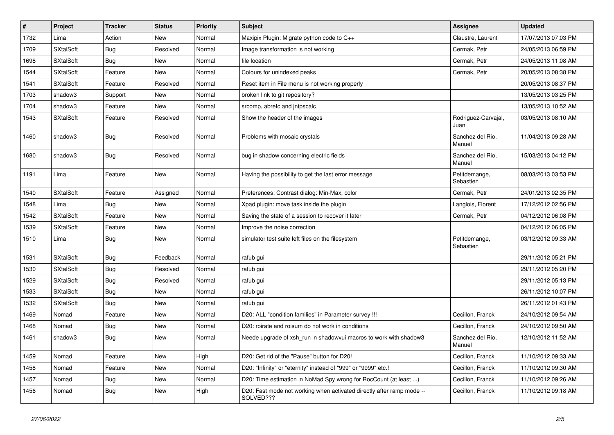| $\sharp$ | Project          | <b>Tracker</b> | <b>Status</b> | <b>Priority</b> | <b>Subject</b>                                                                     | <b>Assignee</b>             | <b>Updated</b>      |
|----------|------------------|----------------|---------------|-----------------|------------------------------------------------------------------------------------|-----------------------------|---------------------|
| 1732     | Lima             | Action         | New           | Normal          | Maxipix Plugin: Migrate python code to C++                                         | Claustre, Laurent           | 17/07/2013 07:03 PM |
| 1709     | <b>SXtalSoft</b> | <b>Bug</b>     | Resolved      | Normal          | Image transformation is not working                                                | Cermak, Petr                | 24/05/2013 06:59 PM |
| 1698     | <b>SXtalSoft</b> | <b>Bug</b>     | New           | Normal          | file location                                                                      | Cermak, Petr                | 24/05/2013 11:08 AM |
| 1544     | <b>SXtalSoft</b> | Feature        | New           | Normal          | Colours for unindexed peaks                                                        | Cermak, Petr                | 20/05/2013 08:38 PM |
| 1541     | <b>SXtalSoft</b> | Feature        | Resolved      | Normal          | Reset item in File menu is not working properly                                    |                             | 20/05/2013 08:37 PM |
| 1703     | shadow3          | Support        | New           | Normal          | broken link to git repository?                                                     |                             | 13/05/2013 03:25 PM |
| 1704     | shadow3          | Feature        | New           | Normal          | srcomp, abrefc and jntpscalc                                                       |                             | 13/05/2013 10:52 AM |
| 1543     | <b>SXtalSoft</b> | Feature        | Resolved      | Normal          | Show the header of the images                                                      | Rodriguez-Carvajal,<br>Juan | 03/05/2013 08:10 AM |
| 1460     | shadow3          | <b>Bug</b>     | Resolved      | Normal          | Problems with mosaic crystals                                                      | Sanchez del Rio.<br>Manuel  | 11/04/2013 09:28 AM |
| 1680     | shadow3          | <b>Bug</b>     | Resolved      | Normal          | bug in shadow concerning electric fields                                           | Sanchez del Rio,<br>Manuel  | 15/03/2013 04:12 PM |
| 1191     | Lima             | Feature        | New           | Normal          | Having the possibility to get the last error message                               | Petitdemange,<br>Sebastien  | 08/03/2013 03:53 PM |
| 1540     | <b>SXtalSoft</b> | Feature        | Assigned      | Normal          | Preferences: Contrast dialog: Min-Max, color                                       | Cermak, Petr                | 24/01/2013 02:35 PM |
| 1548     | Lima             | <b>Bug</b>     | New           | Normal          | Xpad plugin: move task inside the plugin                                           | Langlois, Florent           | 17/12/2012 02:56 PM |
| 1542     | <b>SXtalSoft</b> | Feature        | New           | Normal          | Saving the state of a session to recover it later                                  | Cermak, Petr                | 04/12/2012 06:08 PM |
| 1539     | <b>SXtalSoft</b> | Feature        | New           | Normal          | Improve the noise correction                                                       |                             | 04/12/2012 06:05 PM |
| 1510     | Lima             | <b>Bug</b>     | New           | Normal          | simulator test suite left files on the filesystem                                  | Petitdemange,<br>Sebastien  | 03/12/2012 09:33 AM |
| 1531     | <b>SXtalSoft</b> | <b>Bug</b>     | Feedback      | Normal          | rafub gui                                                                          |                             | 29/11/2012 05:21 PM |
| 1530     | <b>SXtalSoft</b> | <b>Bug</b>     | Resolved      | Normal          | rafub gui                                                                          |                             | 29/11/2012 05:20 PM |
| 1529     | <b>SXtalSoft</b> | <b>Bug</b>     | Resolved      | Normal          | rafub gui                                                                          |                             | 29/11/2012 05:13 PM |
| 1533     | <b>SXtalSoft</b> | <b>Bug</b>     | New           | Normal          | rafub gui                                                                          |                             | 26/11/2012 10:07 PM |
| 1532     | <b>SXtalSoft</b> | <b>Bug</b>     | New           | Normal          | rafub gui                                                                          |                             | 26/11/2012 01:43 PM |
| 1469     | Nomad            | Feature        | New           | Normal          | D20: ALL "condition families" in Parameter survey !!!                              | Cecillon, Franck            | 24/10/2012 09:54 AM |
| 1468     | Nomad            | <b>Bug</b>     | New           | Normal          | D20: roirate and roisum do not work in conditions                                  | Cecillon, Franck            | 24/10/2012 09:50 AM |
| 1461     | shadow3          | Bug            | New           | Normal          | Neede upgrade of xsh run in shadowvui macros to work with shadow3                  | Sanchez del Rio,<br>Manuel  | 12/10/2012 11:52 AM |
| 1459     | Nomad            | Feature        | New           | High            | D20: Get rid of the "Pause" button for D20!                                        | Cecillon, Franck            | 11/10/2012 09:33 AM |
| 1458     | Nomad            | Feature        | <b>New</b>    | Normal          | D20: "Infinity" or "eternity" instead of "999" or "9999" etc.!                     | Cecillon, Franck            | 11/10/2012 09:30 AM |
| 1457     | Nomad            | <b>Bug</b>     | New           | Normal          | D20: Time estimation in NoMad Spy wrong for RocCount (at least )                   | Cecillon, Franck            | 11/10/2012 09:26 AM |
| 1456     | Nomad            | <b>Bug</b>     | New           | High            | D20: Fast mode not working when activated directly after ramp mode --<br>SOLVED??? | Cecillon, Franck            | 11/10/2012 09:18 AM |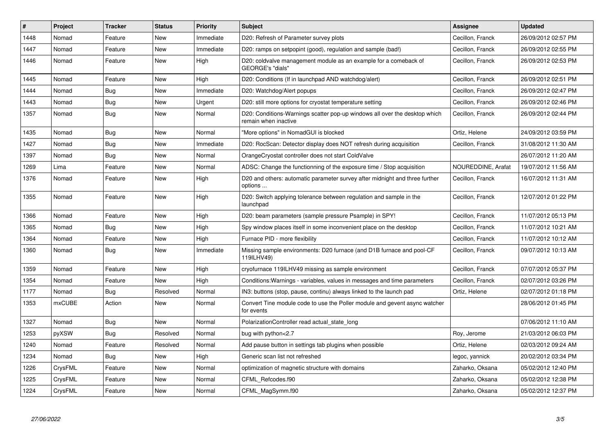| #    | <b>Project</b> | <b>Tracker</b> | <b>Status</b> | <b>Priority</b> | <b>Subject</b>                                                                                     | Assignee           | <b>Updated</b>      |
|------|----------------|----------------|---------------|-----------------|----------------------------------------------------------------------------------------------------|--------------------|---------------------|
| 1448 | Nomad          | Feature        | <b>New</b>    | Immediate       | D20: Refresh of Parameter survey plots                                                             | Cecillon, Franck   | 26/09/2012 02:57 PM |
| 1447 | Nomad          | Feature        | New           | Immediate       | D20: ramps on setpopint (good), regulation and sample (bad!)                                       | Cecillon, Franck   | 26/09/2012 02:55 PM |
| 1446 | Nomad          | Feature        | New           | High            | D20: coldvalve management module as an example for a comeback of<br>GEORGE's "dials"               | Cecillon, Franck   | 26/09/2012 02:53 PM |
| 1445 | Nomad          | Feature        | <b>New</b>    | High            | D20: Conditions (If in launchpad AND watchdog/alert)                                               | Cecillon, Franck   | 26/09/2012 02:51 PM |
| 1444 | Nomad          | Bug            | New           | Immediate       | D20: Watchdog/Alert popups                                                                         | Cecillon, Franck   | 26/09/2012 02:47 PM |
| 1443 | Nomad          | Bug            | New           | Urgent          | D20: still more options for cryostat temperature setting                                           | Cecillon, Franck   | 26/09/2012 02:46 PM |
| 1357 | Nomad          | <b>Bug</b>     | New           | Normal          | D20: Conditions-Warnings scatter pop-up windows all over the desktop which<br>remain when inactive | Cecillon, Franck   | 26/09/2012 02:44 PM |
| 1435 | Nomad          | <b>Bug</b>     | New           | Normal          | "More options" in NomadGUI is blocked                                                              | Ortiz, Helene      | 24/09/2012 03:59 PM |
| 1427 | Nomad          | Bug            | <b>New</b>    | Immediate       | D20: RocScan: Detector display does NOT refresh during acquisition                                 | Cecillon, Franck   | 31/08/2012 11:30 AM |
| 1397 | Nomad          | <b>Bug</b>     | <b>New</b>    | Normal          | OrangeCryostat controller does not start ColdValve                                                 |                    | 26/07/2012 11:20 AM |
| 1269 | Lima           | Feature        | New           | Normal          | ADSC: Change the functionning of the exposure time / Stop acquisition                              | NOUREDDINE, Arafat | 19/07/2012 11:56 AM |
| 1376 | Nomad          | Feature        | New           | High            | D20 and others: automatic parameter survey after midnight and three further<br>options             | Cecillon, Franck   | 16/07/2012 11:31 AM |
| 1355 | Nomad          | Feature        | <b>New</b>    | High            | D20: Switch applying tolerance between regulation and sample in the<br>launchpad                   | Cecillon, Franck   | 12/07/2012 01:22 PM |
| 1366 | Nomad          | Feature        | <b>New</b>    | High            | D20: beam parameters (sample pressure Psample) in SPY!                                             | Cecillon, Franck   | 11/07/2012 05:13 PM |
| 1365 | Nomad          | <b>Bug</b>     | New           | High            | Spy window places itself in some inconvenient place on the desktop                                 | Cecillon, Franck   | 11/07/2012 10:21 AM |
| 1364 | Nomad          | Feature        | New           | High            | Furnace PID - more flexibility                                                                     | Cecillon, Franck   | 11/07/2012 10:12 AM |
| 1360 | Nomad          | Bug            | New           | Immediate       | Missing sample environments: D20 furnace (and D1B furnace and pool-CF<br>119ILHV49)                | Cecillon, Franck   | 09/07/2012 10:13 AM |
| 1359 | Nomad          | Feature        | New           | High            | cryofurnace 119ILHV49 missing as sample environment                                                | Cecillon, Franck   | 07/07/2012 05:37 PM |
| 1354 | Nomad          | Feature        | New           | High            | Conditions: Warnings - variables, values in messages and time parameters                           | Cecillon, Franck   | 02/07/2012 03:26 PM |
| 1177 | Nomad          | <b>Bug</b>     | Resolved      | Normal          | IN3: buttons (stop, pause, continu) always linked to the launch pad                                | Ortiz, Helene      | 02/07/2012 01:18 PM |
| 1353 | <b>mxCUBE</b>  | Action         | New           | Normal          | Convert Tine module code to use the Poller module and gevent async watcher<br>for events           |                    | 28/06/2012 01:45 PM |
| 1327 | Nomad          | <b>Bug</b>     | <b>New</b>    | Normal          | PolarizationController read actual_state_long                                                      |                    | 07/06/2012 11:10 AM |
| 1253 | pyXSW          | Bug            | Resolved      | Normal          | bug with python<2.7                                                                                | Roy, Jerome        | 21/03/2012 06:03 PM |
| 1240 | Nomad          | Feature        | Resolved      | Normal          | Add pause button in settings tab plugins when possible                                             | Ortiz, Helene      | 02/03/2012 09:24 AM |
| 1234 | Nomad          | Bug            | New           | High            | Generic scan list not refreshed                                                                    | legoc, yannick     | 20/02/2012 03:34 PM |
| 1226 | CrysFML        | Feature        | New           | Normal          | optimization of magnetic structure with domains                                                    | Zaharko, Oksana    | 05/02/2012 12:40 PM |
| 1225 | CrysFML        | Feature        | New           | Normal          | CFML Refcodes.f90                                                                                  | Zaharko, Oksana    | 05/02/2012 12:38 PM |
| 1224 | CrysFML        | Feature        | <b>New</b>    | Normal          | CFML_MagSymm.f90                                                                                   | Zaharko, Oksana    | 05/02/2012 12:37 PM |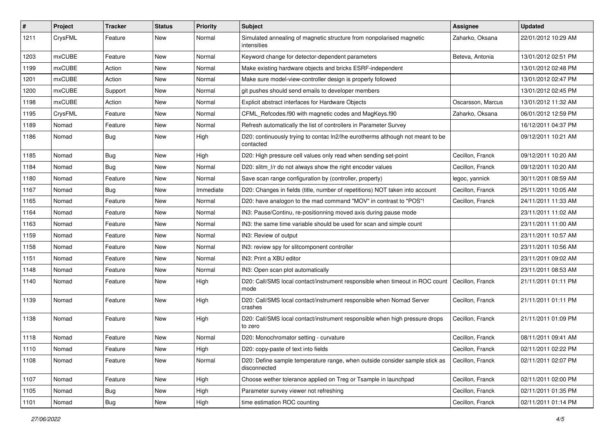| #    | Project       | <b>Tracker</b> | <b>Status</b> | <b>Priority</b> | <b>Subject</b>                                                                                          | Assignee          | <b>Updated</b>      |
|------|---------------|----------------|---------------|-----------------|---------------------------------------------------------------------------------------------------------|-------------------|---------------------|
| 1211 | CrysFML       | Feature        | New           | Normal          | Simulated annealing of magnetic structure from nonpolarised magnetic<br>intensities                     | Zaharko, Oksana   | 22/01/2012 10:29 AM |
| 1203 | mxCUBE        | Feature        | New           | Normal          | Keyword change for detector-dependent parameters                                                        | Beteva, Antonia   | 13/01/2012 02:51 PM |
| 1199 | <b>mxCUBE</b> | Action         | New           | Normal          | Make existing hardware objects and bricks ESRF-independent                                              |                   | 13/01/2012 02:48 PM |
| 1201 | <b>mxCUBE</b> | Action         | New           | Normal          | Make sure model-view-controller design is properly followed                                             |                   | 13/01/2012 02:47 PM |
| 1200 | <b>mxCUBE</b> | Support        | New           | Normal          | git pushes should send emails to developer members                                                      |                   | 13/01/2012 02:45 PM |
| 1198 | mxCUBE        | Action         | New           | Normal          | Explicit abstract interfaces for Hardware Objects                                                       | Oscarsson, Marcus | 13/01/2012 11:32 AM |
| 1195 | CrysFML       | Feature        | New           | Normal          | CFML Refcodes.f90 with magnetic codes and MagKeys.f90                                                   | Zaharko, Oksana   | 06/01/2012 12:59 PM |
| 1189 | Nomad         | Feature        | New           | Normal          | Refresh automatically the list of controllers in Parameter Survey                                       |                   | 16/12/2011 04:37 PM |
| 1186 | Nomad         | Bug            | New           | High            | D20: continuously trying to contac ln2/lhe eurotherms although not meant to be<br>contacted             |                   | 09/12/2011 10:21 AM |
| 1185 | Nomad         | Bug            | <b>New</b>    | High            | D20: High pressure cell values only read when sending set-point                                         | Cecillon, Franck  | 09/12/2011 10:20 AM |
| 1184 | Nomad         | <b>Bug</b>     | New           | Normal          | D20: slitm_l/r do not always show the right encoder values                                              | Cecillon, Franck  | 09/12/2011 10:20 AM |
| 1180 | Nomad         | Feature        | New           | Normal          | Save scan range configuration by (controller, property)                                                 | legoc, yannick    | 30/11/2011 08:59 AM |
| 1167 | Nomad         | <b>Bug</b>     | New           | Immediate       | D20: Changes in fields (title, number of repetitions) NOT taken into account                            | Cecillon, Franck  | 25/11/2011 10:05 AM |
| 1165 | Nomad         | Feature        | New           | Normal          | D20: have analogon to the mad command "MOV" in contrast to "POS"!                                       | Cecillon, Franck  | 24/11/2011 11:33 AM |
| 1164 | Nomad         | Feature        | New           | Normal          | IN3: Pause/Continu, re-positionning moved axis during pause mode                                        |                   | 23/11/2011 11:02 AM |
| 1163 | Nomad         | Feature        | <b>New</b>    | Normal          | IN3: the same time variable should be used for scan and simple count                                    |                   | 23/11/2011 11:00 AM |
| 1159 | Nomad         | Feature        | New           | Normal          | IN3: Review of output                                                                                   |                   | 23/11/2011 10:57 AM |
| 1158 | Nomad         | Feature        | New           | Normal          | IN3: review spy for slitcomponent controller                                                            |                   | 23/11/2011 10:56 AM |
| 1151 | Nomad         | Feature        | New           | Normal          | IN3: Print a XBU editor                                                                                 |                   | 23/11/2011 09:02 AM |
| 1148 | Nomad         | Feature        | New           | Normal          | IN3: Open scan plot automatically                                                                       |                   | 23/11/2011 08:53 AM |
| 1140 | Nomad         | Feature        | New           | High            | D20: Call/SMS local contact/instrument responsible when timeout in ROC count   Cecillon, Franck<br>mode |                   | 21/11/2011 01:11 PM |
| 1139 | Nomad         | Feature        | New           | High            | D20: Call/SMS local contact/instrument responsible when Nomad Server<br>crashes                         | Cecillon, Franck  | 21/11/2011 01:11 PM |
| 1138 | Nomad         | Feature        | New           | High            | D20: Call/SMS local contact/instrument responsible when high pressure drops<br>to zero                  | Cecillon, Franck  | 21/11/2011 01:09 PM |
| 1118 | Nomad         | Feature        | New           | Normal          | D20: Monochromator setting - curvature                                                                  | Cecillon, Franck  | 08/11/2011 09:41 AM |
| 1110 | Nomad         | Feature        | New           | High            | D20: copy-paste of text into fields                                                                     | Cecillon, Franck  | 02/11/2011 02:22 PM |
| 1108 | Nomad         | Feature        | New           | Normal          | D20: Define sample temperature range, when outside consider sample stick as<br>disconnected             | Cecillon, Franck  | 02/11/2011 02:07 PM |
| 1107 | Nomad         | Feature        | New           | High            | Choose wether tolerance applied on Treg or Tsample in launchpad                                         | Cecillon, Franck  | 02/11/2011 02:00 PM |
| 1105 | Nomad         | <b>Bug</b>     | New           | High            | Parameter survey viewer not refreshing                                                                  | Cecillon, Franck  | 02/11/2011 01:35 PM |
| 1101 | Nomad         | Bug            | New           | High            | time estimation ROC counting                                                                            | Cecillon, Franck  | 02/11/2011 01:14 PM |